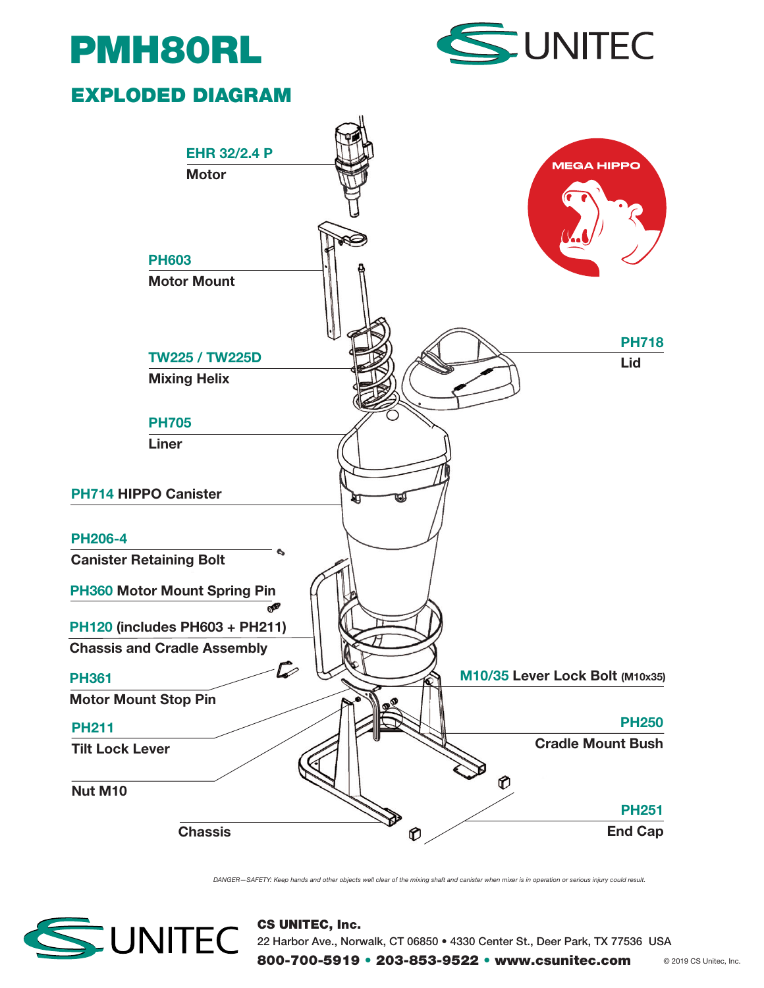



## EXPLODED DIAGRAM



DANGER—SAFETY: Keep hands and other objects well clear of the mixing shaft and canister when mixer is in operation or serious injury could result.



CS UNITEC, Inc. 22 Harbor Ave., Norwalk, CT 06850 • 4330 Center St., Deer Park, TX 77536 USA

800-700-5919 • 203-853-9522 • www.csunitec.com @ 2019 CS Unitec, Inc.